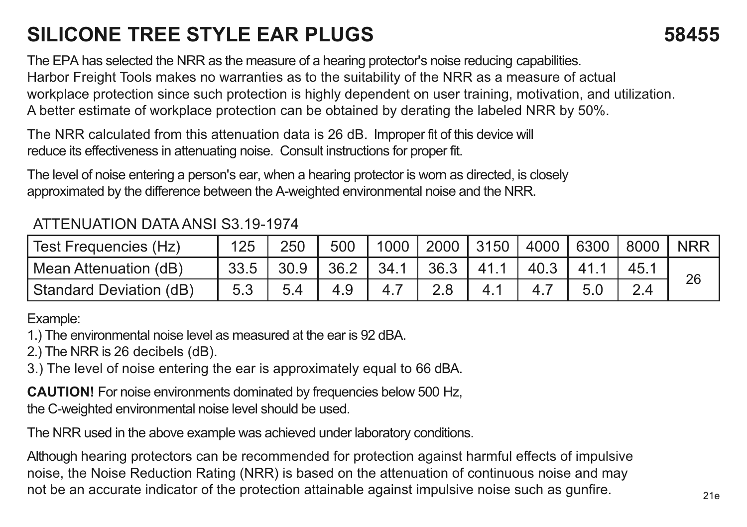## **SILICONE TREE STYLE EAR PLUGS 58455**

The EPA has selected the NRR as the measure of a hearing protector's noise reducing capabilities. Harbor Freight Tools makes no warranties as to the suitability of the NRR as a measure of actual workplace protection since such protection is highly dependent on user training, motivation, and utilization. A better estimate of workplace protection can be obtained by derating the labeled NRR by 50%.

The NRR calculated from this attenuation data is 26 dB. Improper fit of this device will reduce its effectiveness in attenuating noise. Consult instructions for proper fit.

The level of noise entering a person's ear, when a hearing protector is worn as directed, is closely approximated by the difference between the A-weighted environmental noise and the NRR.

## ATTENUATION DATA ANSI S3.19-1974

| Test Frequencies (Hz)   | 125  | 250  | 500  | 10001. | 2000 3150 | 4000 | 6300 | 8000 | <b>NRR</b> |
|-------------------------|------|------|------|--------|-----------|------|------|------|------------|
| Mean Attenuation (dB)   | 33.5 | 30.9 | 36.2 | 34.1   | 36.3      | 40.3 |      |      | 26         |
| Standard Deviation (dB) | 5.3  |      | 4.9  |        |           |      |      | 24   |            |

Example:

1.) The environmental noise level as measured at the ear is 92 dBA.

2.) The NRR is 26 decibels (dB).

3.) The level of noise entering the ear is approximately equal to 66 dBA.

**CAUTION!** For noise environments dominated by frequencies below 500 Hz, the C-weighted environmental noise level should be used.

The NRR used in the above example was achieved under laboratory conditions.

Although hearing protectors can be recommended for protection against harmful effects of impulsive noise, the Noise Reduction Rating (NRR) is based on the attenuation of continuous noise and may not be an accurate indicator of the protection attainable against impulsive noise such as gunfire.